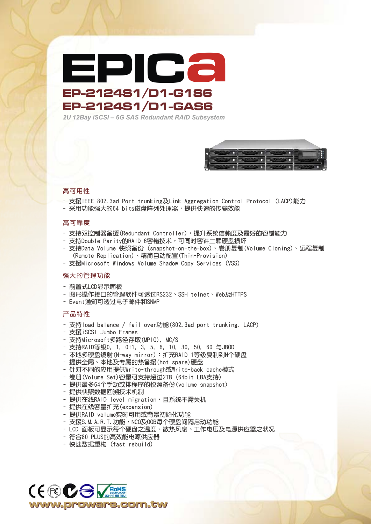

*2U 12Bay iSCSI – 6G SAS Redundant RAID Subsystem*



## 高可用性

- 支援IEEE 802.3ad Port trunking及Link Aggregation Control Protocol (LACP)能力
- 采用功能强大的64 bits磁盘阵列处理器,提供快速的传输效能

## 高可靠度

- 支持双控制器备援(Redundant Controller),提升系统信赖度及最好的容错能力
- 支持Double Parity的RAID 6容错技术,可同时容许二颗硬盘损坏
- 支持Data Volume 快照備份 (snapshot-on-the-box)、卷冊複製(Volume Cloning)、遠程複製 (Remote Replication)、精簡自動配置(Thin-Provision)
- 支援Microsoft Windows Volume Shadow Copy Services (VSS)

#### 強大的管理功能

- 前置式LCD顯示面板
- 圖形操作接口的管理軟件可透過RS232、SSH telnet、Web及HTTPS
- Event通知可透过电子邮件和SNMP

## 產品特性

- 支持load balance / fail over功能(802.3ad port trunking, LACP)
- 支援iSCSI Jumbo Frames
- 支持Microsoft多路徑存取(MPIO), MC/S
- 支持RAID等级0, 1, 0+1, 3, 5, 6, 10, 30, 50, 60 与JBOD
- 本地多硬盘镜射(N-way mirror):扩充RAID 1等级复制到N个硬盘
- 提供全局、本地及专属的热备援(hot spare)硬盘
- 針對不同的應用提供Write-through或Write-back cache模式
- 卷冊(Volume Set)容量可支持超過2TB (64bit LBA支持)
- 提供最多64个手动或排程序的快照备份(volume snapshot)
- 提供快照数据回溯技术机制
- 提供在线RAID level migration, 且系统不需关机
- 提供在线容量扩充(expansion)
- 提供RAID volume實時可用或背景初始化功能
- 支援S. M. A. R. T. 功能, NCQ及00B每个硬盘间隔启动功能
- LCD 面板可显示每个硬盘之温度、散热风扇、工作电压及电源供应器之状况
- 符合80 PLUS的高效能電源供應器
- 快速數據重構 (fast rebuild)